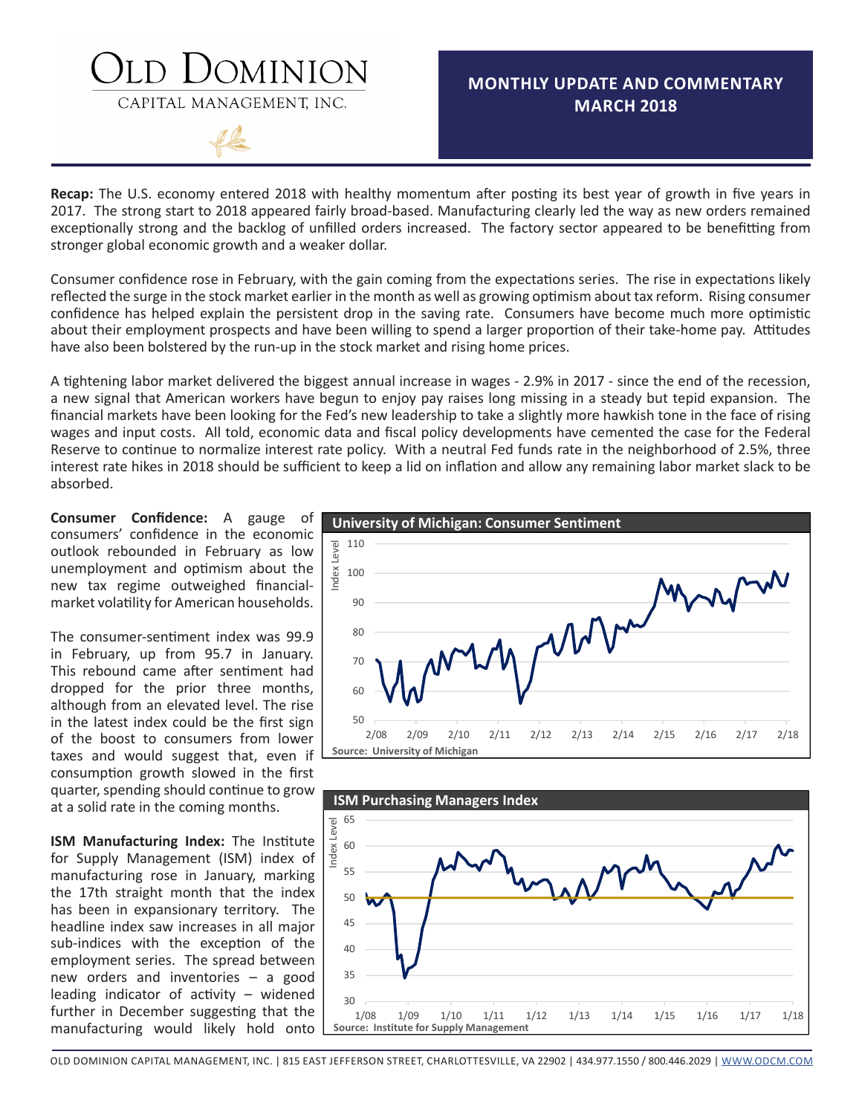## DOMINION

CAPITAL MANAGEMENT, INC.



## **MONTHLY UPDATE AND COMMENTARY MARCH 2018**

**Recap:** The U.S. economy entered 2018 with healthy momentum after posting its best year of growth in five years in 2017. The strong start to 2018 appeared fairly broad-based. Manufacturing clearly led the way as new orders remained exceptionally strong and the backlog of unfilled orders increased. The factory sector appeared to be benefitting from stronger global economic growth and a weaker dollar.

Consumer confidence rose in February, with the gain coming from the expectations series. The rise in expectations likely reflected the surge in the stock market earlier in the month as well as growing optimism about tax reform. Rising consumer confidence has helped explain the persistent drop in the saving rate. Consumers have become much more optimistic about their employment prospects and have been willing to spend a larger proportion of their take-home pay. Attitudes have also been bolstered by the run-up in the stock market and rising home prices.

A tightening labor market delivered the biggest annual increase in wages - 2.9% in 2017 - since the end of the recession, a new signal that American workers have begun to enjoy pay raises long missing in a steady but tepid expansion. The financial markets have been looking for the Fed's new leadership to take a slightly more hawkish tone in the face of rising wages and input costs. All told, economic data and fiscal policy developments have cemented the case for the Federal Reserve to continue to normalize interest rate policy. With a neutral Fed funds rate in the neighborhood of 2.5%, three interest rate hikes in 2018 should be sufficient to keep a lid on inflation and allow any remaining labor market slack to be absorbed.

**Consumer Confidence:** A gauge of consumers' confidence in the economic outlook rebounded in February as low unemployment and optimism about the new tax regime outweighed financialmarket volatility for American households.

The consumer-sentiment index was 99.9 in February, up from 95.7 in January. This rebound came after sentiment had dropped for the prior three months, although from an elevated level. The rise in the latest index could be the first sign of the boost to consumers from lower taxes and would suggest that, even if consumption growth slowed in the first quarter, spending should continue to grow at a solid rate in the coming months.

**ISM Manufacturing Index:** The Institute for Supply Management (ISM) index of manufacturing rose in January, marking the 17th straight month that the index has been in expansionary territory. The headline index saw increases in all major sub-indices with the exception of the employment series. The spread between new orders and inventories – a good leading indicator of activity – widened further in December suggesting that the manufacturing would likely hold onto





[OLD DOMINION CAPITAL MANAGEMENT, INC. | 815 EAST JEFFERSON STREET, CHARLOTTESVILLE, VA 22902 | 434.977.1550 / 800.446.2029 | WWW.ODCM.COM](http://www.odcm.com)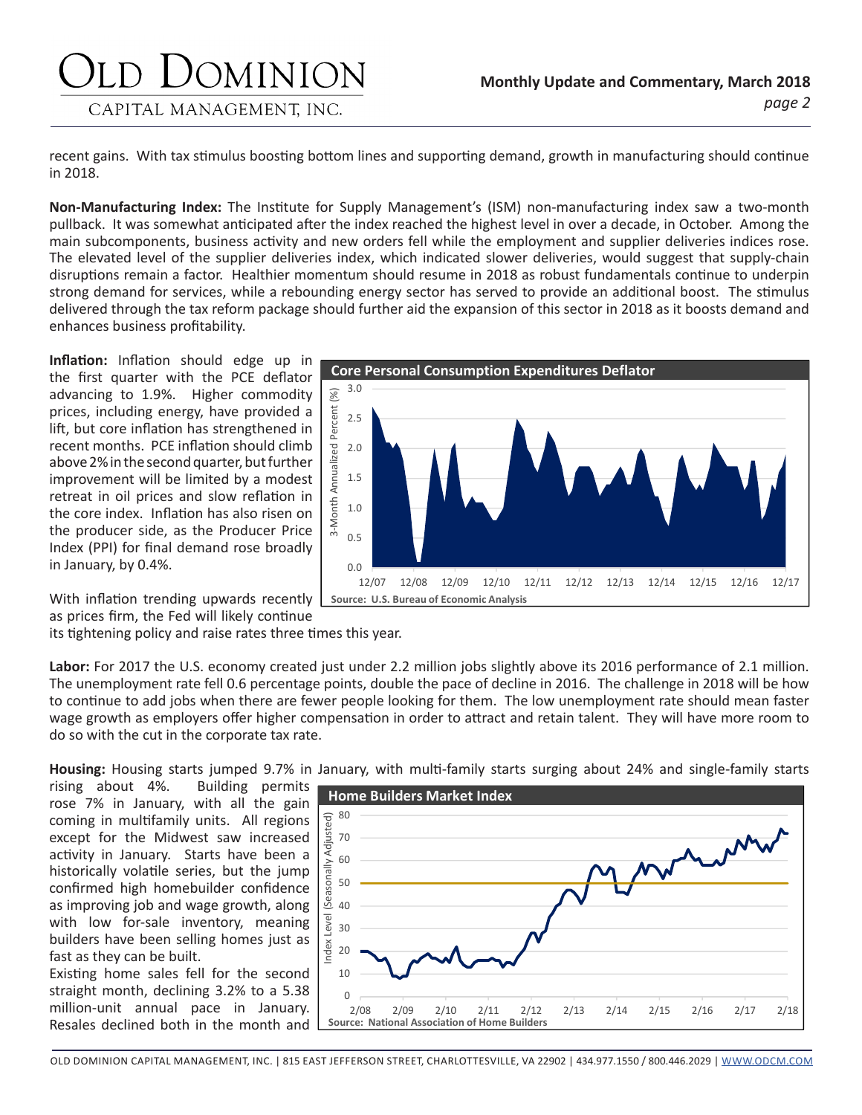## JOMINION CAPITAL MANAGEMENT, INC.

recent gains. With tax stimulus boosting bottom lines and supporting demand, growth in manufacturing should continue in 2018.

**Non-Manufacturing Index:** The Institute for Supply Management's (ISM) non-manufacturing index saw a two-month pullback. It was somewhat anticipated after the index reached the highest level in over a decade, in October. Among the main subcomponents, business activity and new orders fell while the employment and supplier deliveries indices rose. The elevated level of the supplier deliveries index, which indicated slower deliveries, would suggest that supply-chain disruptions remain a factor. Healthier momentum should resume in 2018 as robust fundamentals continue to underpin strong demand for services, while a rebounding energy sector has served to provide an additional boost. The stimulus delivered through the tax reform package should further aid the expansion of this sector in 2018 as it boosts demand and enhances business profitability.

**Inflation:** Inflation should edge up in the first quarter with the PCE deflator advancing to 1.9%. Higher commodity prices, including energy, have provided a lift, but core inflation has strengthened in recent months. PCE inflation should climb above 2% in the second quarter, but further improvement will be limited by a modest retreat in oil prices and slow reflation in the core index. Inflation has also risen on the producer side, as the Producer Price Index (PPI) for final demand rose broadly in January, by 0.4%.

**Core Personal Consumption Expenditures Deflator** 3.0  $\%$ 3‐Month Annualized Percent (%) Percent 2.5 ized 2.0 Annual 1.5 Month 1.0  $\overset{-}{\infty}$ 0.5  $0.0$ 12/07 12/08 12/09 12/10 12/11 12/12 12/13 12/14 12/15 12/16 12/17 **Source: U.S. Bureau of Economic Analysis**

With inflation trending upwards recently as prices firm, the Fed will likely continue

its tightening policy and raise rates three times this year.

**Labor:** For 2017 the U.S. economy created just under 2.2 million jobs slightly above its 2016 performance of 2.1 million. The unemployment rate fell 0.6 percentage points, double the pace of decline in 2016. The challenge in 2018 will be how to continue to add jobs when there are fewer people looking for them. The low unemployment rate should mean faster wage growth as employers offer higher compensation in order to attract and retain talent. They will have more room to do so with the cut in the corporate tax rate.

**Housing:** Housing starts jumped 9.7% in January, with multi-family starts surging about 24% and single-family starts

rising about 4%. Building permits rose 7% in January, with all the gain coming in multifamily units. All regions except for the Midwest saw increased activity in January. Starts have been a historically volatile series, but the jump confirmed high homebuilder confidence as improving job and wage growth, along with low for-sale inventory, meaning builders have been selling homes just as fast as they can be built.

Existing home sales fell for the second straight month, declining 3.2% to a 5.38 million-unit annual pace in January. Resales declined both in the month and

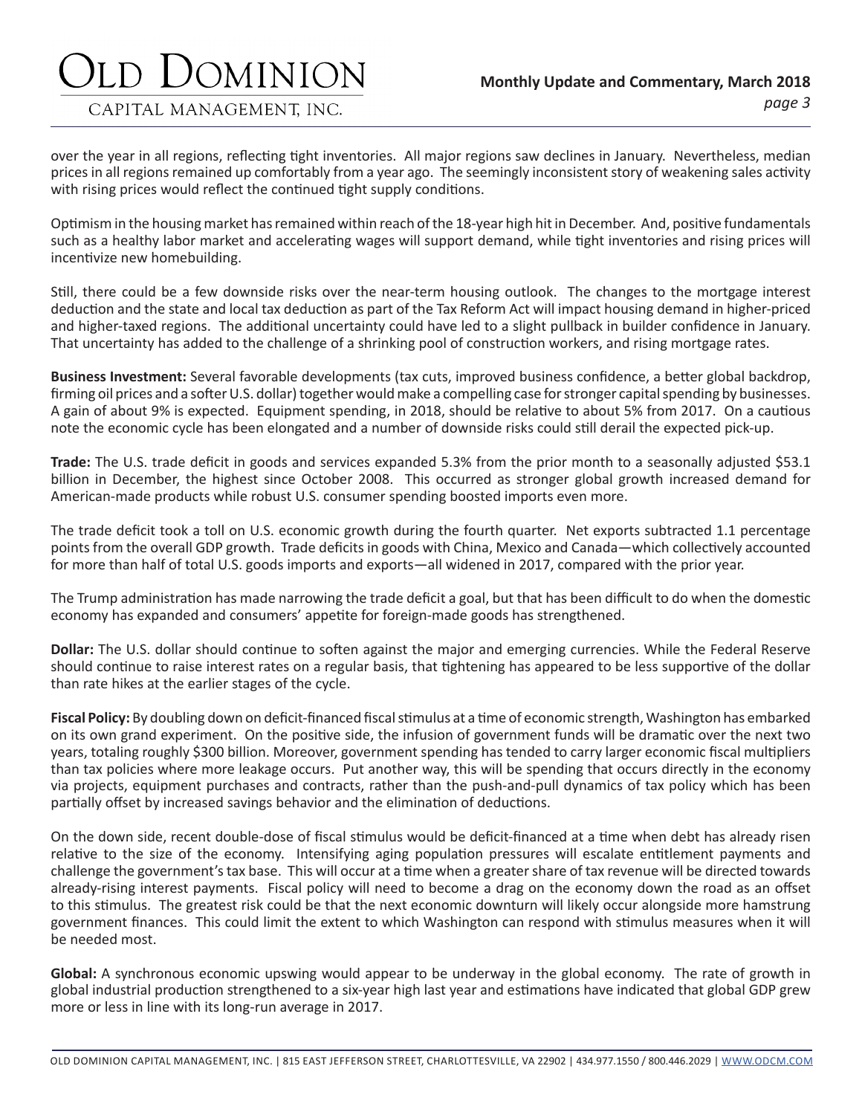# )OMINION

CAPITAL MANAGEMENT, INC.

### *page 3* **Monthly Update and Commentary, March 2018**

over the year in all regions, reflecting tight inventories. All major regions saw declines in January. Nevertheless, median prices in all regions remained up comfortably from a year ago. The seemingly inconsistent story of weakening sales activity with rising prices would reflect the continued tight supply conditions.

Optimism in the housing market has remained within reach of the 18-year high hit in December. And, positive fundamentals such as a healthy labor market and accelerating wages will support demand, while tight inventories and rising prices will incentivize new homebuilding.

Still, there could be a few downside risks over the near-term housing outlook. The changes to the mortgage interest deduction and the state and local tax deduction as part of the Tax Reform Act will impact housing demand in higher-priced and higher-taxed regions. The additional uncertainty could have led to a slight pullback in builder confidence in January. That uncertainty has added to the challenge of a shrinking pool of construction workers, and rising mortgage rates.

**Business Investment:** Several favorable developments (tax cuts, improved business confidence, a better global backdrop, firming oil prices and a softer U.S. dollar) together would make a compelling case for stronger capital spending by businesses. A gain of about 9% is expected. Equipment spending, in 2018, should be relative to about 5% from 2017. On a cautious note the economic cycle has been elongated and a number of downside risks could still derail the expected pick-up.

**Trade:** The U.S. trade deficit in goods and services expanded 5.3% from the prior month to a seasonally adjusted \$53.1 billion in December, the highest since October 2008. This occurred as stronger global growth increased demand for American-made products while robust U.S. consumer spending boosted imports even more.

The trade deficit took a toll on U.S. economic growth during the fourth quarter. Net exports subtracted 1.1 percentage points from the overall GDP growth. Trade deficits in goods with China, Mexico and Canada—which collectively accounted for more than half of total U.S. goods imports and exports—all widened in 2017, compared with the prior year.

The Trump administration has made narrowing the trade deficit a goal, but that has been difficult to do when the domestic economy has expanded and consumers' appetite for foreign-made goods has strengthened.

**Dollar:** The U.S. dollar should continue to soften against the major and emerging currencies. While the Federal Reserve should continue to raise interest rates on a regular basis, that tightening has appeared to be less supportive of the dollar than rate hikes at the earlier stages of the cycle.

**Fiscal Policy:** By doubling down on deficit-financed fiscal stimulus at a time of economic strength, Washington has embarked on its own grand experiment. On the positive side, the infusion of government funds will be dramatic over the next two years, totaling roughly \$300 billion. Moreover, government spending has tended to carry larger economic fiscal multipliers than tax policies where more leakage occurs. Put another way, this will be spending that occurs directly in the economy via projects, equipment purchases and contracts, rather than the push-and-pull dynamics of tax policy which has been partially offset by increased savings behavior and the elimination of deductions.

On the down side, recent double-dose of fiscal stimulus would be deficit-financed at a time when debt has already risen relative to the size of the economy. Intensifying aging population pressures will escalate entitlement payments and challenge the government's tax base. This will occur at a time when a greater share of tax revenue will be directed towards already-rising interest payments. Fiscal policy will need to become a drag on the economy down the road as an offset to this stimulus. The greatest risk could be that the next economic downturn will likely occur alongside more hamstrung government finances. This could limit the extent to which Washington can respond with stimulus measures when it will be needed most.

**Global:** A synchronous economic upswing would appear to be underway in the global economy. The rate of growth in global industrial production strengthened to a six-year high last year and estimations have indicated that global GDP grew more or less in line with its long-run average in 2017.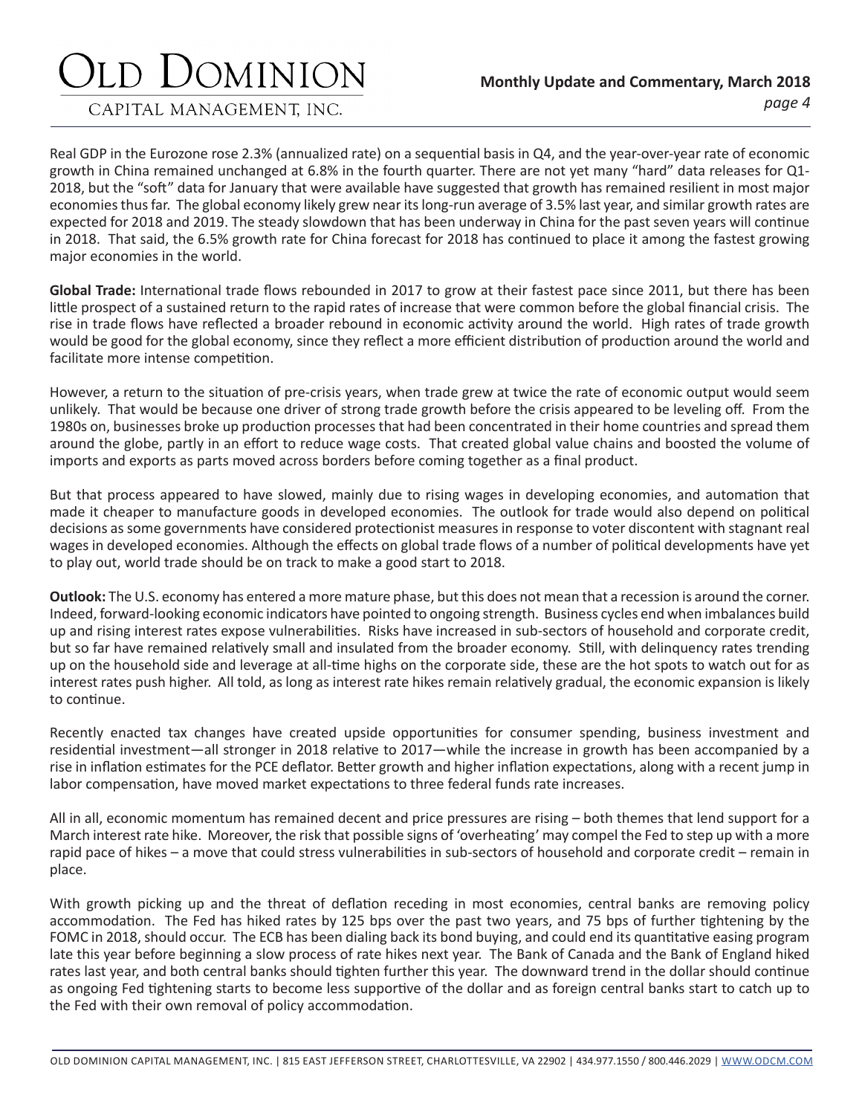# JOMINION

CAPITAL MANAGEMENT, INC.

Real GDP in the Eurozone rose 2.3% (annualized rate) on a sequential basis in Q4, and the year-over-year rate of economic growth in China remained unchanged at 6.8% in the fourth quarter. There are not yet many "hard" data releases for Q1- 2018, but the "soft" data for January that were available have suggested that growth has remained resilient in most major economies thus far. The global economy likely grew near its long-run average of 3.5% last year, and similar growth rates are expected for 2018 and 2019. The steady slowdown that has been underway in China for the past seven years will continue in 2018. That said, the 6.5% growth rate for China forecast for 2018 has continued to place it among the fastest growing major economies in the world.

**Global Trade:** International trade flows rebounded in 2017 to grow at their fastest pace since 2011, but there has been little prospect of a sustained return to the rapid rates of increase that were common before the global financial crisis. The rise in trade flows have reflected a broader rebound in economic activity around the world. High rates of trade growth would be good for the global economy, since they reflect a more efficient distribution of production around the world and facilitate more intense competition.

However, a return to the situation of pre-crisis years, when trade grew at twice the rate of economic output would seem unlikely. That would be because one driver of strong trade growth before the crisis appeared to be leveling off. From the 1980s on, businesses broke up production processes that had been concentrated in their home countries and spread them around the globe, partly in an effort to reduce wage costs. That created global value chains and boosted the volume of imports and exports as parts moved across borders before coming together as a final product.

But that process appeared to have slowed, mainly due to rising wages in developing economies, and automation that made it cheaper to manufacture goods in developed economies. The outlook for trade would also depend on political decisions as some governments have considered protectionist measures in response to voter discontent with stagnant real wages in developed economies. Although the effects on global trade flows of a number of political developments have yet to play out, world trade should be on track to make a good start to 2018.

**Outlook:** The U.S. economy has entered a more mature phase, but this does not mean that a recession is around the corner. Indeed, forward-looking economic indicators have pointed to ongoing strength. Business cycles end when imbalances build up and rising interest rates expose vulnerabilities. Risks have increased in sub-sectors of household and corporate credit, but so far have remained relatively small and insulated from the broader economy. Still, with delinquency rates trending up on the household side and leverage at all-time highs on the corporate side, these are the hot spots to watch out for as interest rates push higher. All told, as long as interest rate hikes remain relatively gradual, the economic expansion is likely to continue.

Recently enacted tax changes have created upside opportunities for consumer spending, business investment and residential investment—all stronger in 2018 relative to 2017—while the increase in growth has been accompanied by a rise in inflation estimates for the PCE deflator. Better growth and higher inflation expectations, along with a recent jump in labor compensation, have moved market expectations to three federal funds rate increases.

All in all, economic momentum has remained decent and price pressures are rising – both themes that lend support for a March interest rate hike. Moreover, the risk that possible signs of 'overheating' may compel the Fed to step up with a more rapid pace of hikes – a move that could stress vulnerabilities in sub-sectors of household and corporate credit – remain in place.

With growth picking up and the threat of deflation receding in most economies, central banks are removing policy accommodation. The Fed has hiked rates by 125 bps over the past two years, and 75 bps of further tightening by the FOMC in 2018, should occur. The ECB has been dialing back its bond buying, and could end its quantitative easing program late this year before beginning a slow process of rate hikes next year. The Bank of Canada and the Bank of England hiked rates last year, and both central banks should tighten further this year. The downward trend in the dollar should continue as ongoing Fed tightening starts to become less supportive of the dollar and as foreign central banks start to catch up to the Fed with their own removal of policy accommodation.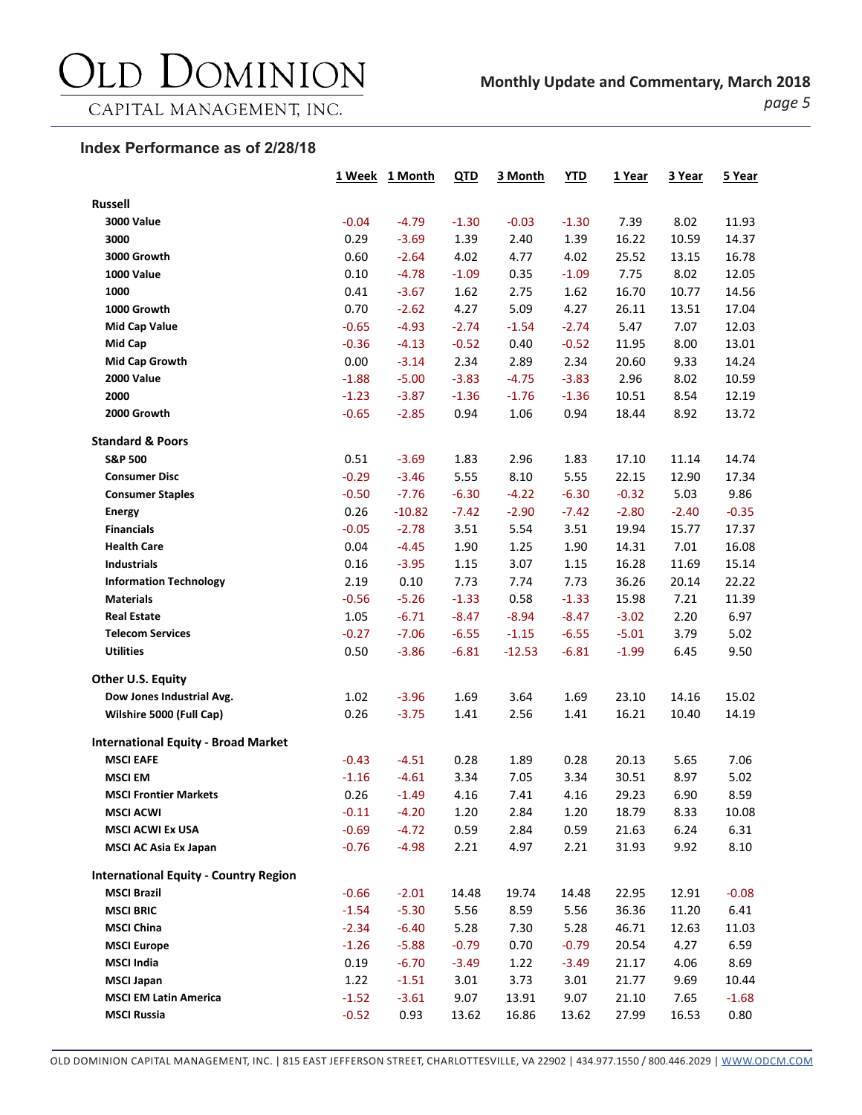## DOMINION  $\sum$

CAPITAL MANAGEMENT, INC.

*page 5*

### **Index Performance as of 2/28/18**

|                                              |         | 1 Week 1 Month | QTD     | 3 Month  | <b>YTD</b> | 1 Year  | 3 Year  | 5 Year  |
|----------------------------------------------|---------|----------------|---------|----------|------------|---------|---------|---------|
| <b>Russell</b>                               |         |                |         |          |            |         |         |         |
| <b>3000 Value</b>                            | $-0.04$ | $-4.79$        | $-1.30$ | $-0.03$  | $-1.30$    | 7.39    | 8.02    | 11.93   |
| 3000                                         | 0.29    | $-3.69$        | 1.39    | 2.40     | 1.39       | 16.22   | 10.59   | 14.37   |
| 3000 Growth                                  | 0.60    | $-2.64$        | 4.02    | 4.77     | 4.02       | 25.52   | 13.15   | 16.78   |
| <b>1000 Value</b>                            | 0.10    | $-4.78$        | $-1.09$ | 0.35     | $-1.09$    | 7.75    | 8.02    | 12.05   |
| 1000                                         | 0.41    | $-3.67$        | 1.62    | 2.75     | 1.62       | 16.70   | 10.77   | 14.56   |
| 1000 Growth                                  | 0.70    | $-2.62$        | 4.27    | 5.09     | 4.27       | 26.11   | 13.51   | 17.04   |
| <b>Mid Cap Value</b>                         | $-0.65$ | $-4.93$        | $-2.74$ | $-1.54$  | $-2.74$    | 5.47    | 7.07    | 12.03   |
| Mid Cap                                      | $-0.36$ | $-4.13$        | $-0.52$ | 0.40     | $-0.52$    | 11.95   | 8.00    | 13.01   |
| Mid Cap Growth                               | 0.00    | $-3.14$        | 2.34    | 2.89     | 2.34       | 20.60   | 9.33    | 14.24   |
| <b>2000 Value</b>                            | $-1.88$ | $-5.00$        | $-3.83$ | $-4.75$  | $-3.83$    | 2.96    | 8.02    | 10.59   |
| 2000                                         | $-1.23$ | $-3.87$        | $-1.36$ | $-1.76$  | $-1.36$    | 10.51   | 8.54    | 12.19   |
| 2000 Growth                                  | $-0.65$ | $-2.85$        | 0.94    | 1.06     | 0.94       | 18.44   | 8.92    | 13.72   |
| <b>Standard &amp; Poors</b>                  |         |                |         |          |            |         |         |         |
| <b>S&amp;P 500</b>                           | 0.51    | $-3.69$        | 1.83    | 2.96     | 1.83       | 17.10   | 11.14   | 14.74   |
| <b>Consumer Disc</b>                         | $-0.29$ | $-3.46$        | 5.55    | 8.10     | 5.55       | 22.15   | 12.90   | 17.34   |
| <b>Consumer Staples</b>                      | $-0.50$ | $-7.76$        | $-6.30$ | $-4.22$  | $-6.30$    | $-0.32$ | 5.03    | 9.86    |
| <b>Energy</b>                                | 0.26    | $-10.82$       | $-7.42$ | $-2.90$  | $-7.42$    | $-2.80$ | $-2.40$ | $-0.35$ |
| <b>Financials</b>                            | $-0.05$ | $-2.78$        | 3.51    | 5.54     | 3.51       | 19.94   | 15.77   | 17.37   |
| <b>Health Care</b>                           | 0.04    | $-4.45$        | 1.90    | 1.25     | 1.90       | 14.31   | 7.01    | 16.08   |
| <b>Industrials</b>                           | 0.16    | $-3.95$        | 1.15    | 3.07     | 1.15       | 16.28   | 11.69   | 15.14   |
| <b>Information Technology</b>                | 2.19    | 0.10           | 7.73    | 7.74     | 7.73       | 36.26   | 20.14   | 22.22   |
| <b>Materials</b>                             | $-0.56$ | $-5.26$        | $-1.33$ | 0.58     | $-1.33$    | 15.98   | 7.21    | 11.39   |
| <b>Real Estate</b>                           | 1.05    | $-6.71$        | $-8.47$ | $-8.94$  | $-8.47$    | $-3.02$ | 2.20    | 6.97    |
| <b>Telecom Services</b>                      | $-0.27$ | $-7.06$        | $-6.55$ | $-1.15$  | $-6.55$    | $-5.01$ | 3.79    | 5.02    |
| <b>Utilities</b>                             | 0.50    | $-3.86$        | $-6.81$ | $-12.53$ | $-6.81$    | $-1.99$ | 6.45    | 9.50    |
| <b>Other U.S. Equity</b>                     |         |                |         |          |            |         |         |         |
| Dow Jones Industrial Avg.                    | 1.02    | $-3.96$        | 1.69    | 3.64     | 1.69       | 23.10   | 14.16   | 15.02   |
| Wilshire 5000 (Full Cap)                     | 0.26    | $-3.75$        | 1.41    | 2.56     | 1.41       | 16.21   | 10.40   | 14.19   |
| <b>International Equity - Broad Market</b>   |         |                |         |          |            |         |         |         |
| <b>MSCI EAFE</b>                             | $-0.43$ | $-4.51$        | 0.28    | 1.89     | 0.28       | 20.13   | 5.65    | 7.06    |
| <b>MSCI EM</b>                               | $-1.16$ | $-4.61$        | 3.34    | 7.05     | 3.34       | 30.51   | 8.97    | 5.02    |
| <b>MSCI Frontier Markets</b>                 | 0.26    | $-1.49$        | 4.16    | 7.41     | 4.16       | 29.23   | 6.90    | 8.59    |
| <b>MSCI ACWI</b>                             | $-0.11$ | $-4.20$        | 1.20    | 2.84     | 1.20       | 18.79   | 8.33    | 10.08   |
| <b>MSCI ACWI Ex USA</b>                      | $-0.69$ | $-4.72$        | 0.59    | 2.84     | 0.59       | 21.63   | 6.24    | 6.31    |
| <b>MSCI AC Asia Ex Japan</b>                 | $-0.76$ | $-4.98$        | 2.21    | 4.97     | 2.21       | 31.93   | 9.92    | 8.10    |
| <b>International Equity - Country Region</b> |         |                |         |          |            |         |         |         |
| <b>MSCI Brazil</b>                           | $-0.66$ | $-2.01$        | 14.48   | 19.74    | 14.48      | 22.95   | 12.91   | $-0.08$ |
| <b>MSCI BRIC</b>                             | $-1.54$ | $-5.30$        | 5.56    | 8.59     | 5.56       | 36.36   | 11.20   | 6.41    |
| <b>MSCI China</b>                            | $-2.34$ | $-6.40$        | 5.28    | 7.30     | 5.28       | 46.71   | 12.63   | 11.03   |
| <b>MSCI Europe</b>                           | $-1.26$ | $-5.88$        | $-0.79$ | 0.70     | $-0.79$    | 20.54   | 4.27    | 6.59    |
| <b>MSCI India</b>                            | 0.19    | $-6.70$        | $-3.49$ | 1.22     | $-3.49$    | 21.17   | 4.06    | 8.69    |
| <b>MSCI Japan</b>                            | 1.22    | $-1.51$        | 3.01    | 3.73     | 3.01       | 21.77   | 9.69    | 10.44   |
| <b>MSCI EM Latin America</b>                 | $-1.52$ | $-3.61$        | 9.07    | 13.91    | 9.07       | 21.10   | 7.65    | $-1.68$ |
| <b>MSCI Russia</b>                           | $-0.52$ | 0.93           | 13.62   | 16.86    | 13.62      | 27.99   | 16.53   | 0.80    |